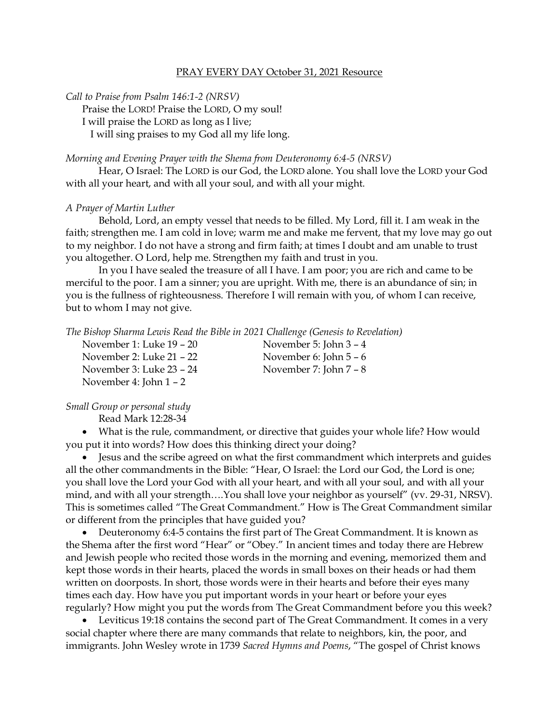## PRAY EVERY DAY October 31, 2021 Resource

*Call to Praise from Psalm 146:1-2 (NRSV)*

Praise the LORD! Praise the LORD, O my soul!

I will praise the LORD as long as I live;

I will sing praises to my God all my life long.

## *Morning and Evening Prayer with the Shema from Deuteronomy 6:4-5 (NRSV)*

Hear, O Israel: The LORD is our God, the LORD alone. You shall love the LORD your God with all your heart, and with all your soul, and with all your might.

## *A Prayer of Martin Luther*

Behold, Lord, an empty vessel that needs to be filled. My Lord, fill it. I am weak in the faith; strengthen me. I am cold in love; warm me and make me fervent, that my love may go out to my neighbor. I do not have a strong and firm faith; at times I doubt and am unable to trust you altogether. O Lord, help me. Strengthen my faith and trust in you.

In you I have sealed the treasure of all I have. I am poor; you are rich and came to be merciful to the poor. I am a sinner; you are upright. With me, there is an abundance of sin; in you is the fullness of righteousness. Therefore I will remain with you, of whom I can receive, but to whom I may not give.

*The Bishop Sharma Lewis Read the Bible in 2021 Challenge (Genesis to Revelation)*

November 1: Luke 19 – 20 November 5: John 3 – 4 November 2: Luke 21 – 22 November 6: John 5 – 6 November 3: Luke 23 – 24 November 7: John 7 – 8 November 4: John 1 – 2

*Small Group or personal study*

Read Mark 12:28-34

• What is the rule, commandment, or directive that guides your whole life? How would you put it into words? How does this thinking direct your doing?

• Jesus and the scribe agreed on what the first commandment which interprets and guides all the other commandments in the Bible: "Hear, O Israel: the Lord our God, the Lord is one; you shall love the Lord your God with all your heart, and with all your soul, and with all your mind, and with all your strength….You shall love your neighbor as yourself" (vv. 29-31, NRSV). This is sometimes called "The Great Commandment." How is The Great Commandment similar or different from the principles that have guided you?

• Deuteronomy 6:4-5 contains the first part of The Great Commandment. It is known as the Shema after the first word "Hear" or "Obey." In ancient times and today there are Hebrew and Jewish people who recited those words in the morning and evening, memorized them and kept those words in their hearts, placed the words in small boxes on their heads or had them written on doorposts. In short, those words were in their hearts and before their eyes many times each day. How have you put important words in your heart or before your eyes regularly? How might you put the words from The Great Commandment before you this week?

• Leviticus 19:18 contains the second part of The Great Commandment. It comes in a very social chapter where there are many commands that relate to neighbors, kin, the poor, and immigrants. John Wesley wrote in 1739 *Sacred Hymns and Poems*, "The gospel of Christ knows